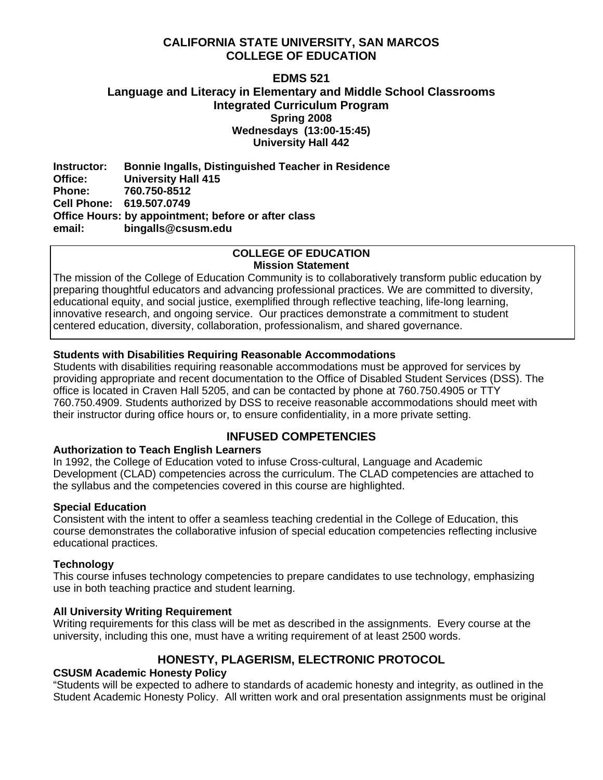## **CALIFORNIA STATE UNIVERSITY, SAN MARCOS COLLEGE OF EDUCATION**

## **EDMS 521 Language and Literacy in Elementary and Middle School Classrooms Integrated Curriculum Program Spring 2008 Wednesdays (13:00-15:45) University Hall 442**

**Instructor: Bonnie Ingalls, Distinguished Teacher in Residence University Hall 415 Phone: 760.750-8512 Cell Phone: 619.507.0749 Office Hours: by appointment; before or after class email: bingalls@csusm.edu** 

#### **COLLEGE OF EDUCATION Mission Statement**

The mission of the College of Education Community is to collaboratively transform public education by preparing thoughtful educators and advancing professional practices. We are committed to diversity, educational equity, and social justice, exemplified through reflective teaching, life-long learning, innovative research, and ongoing service. Our practices demonstrate a commitment to student centered education, diversity, collaboration, professionalism, and shared governance.

## **Students with Disabilities Requiring Reasonable Accommodations**

Students with disabilities requiring reasonable accommodations must be approved for services by providing appropriate and recent documentation to the Office of Disabled Student Services (DSS). The office is located in Craven Hall 5205, and can be contacted by phone at 760.750.4905 or TTY 760.750.4909. Students authorized by DSS to receive reasonable accommodations should meet with their instructor during office hours or, to ensure confidentiality, in a more private setting.

## **INFUSED COMPETENCIES**

## **Authorization to Teach English Learners**

In 1992, the College of Education voted to infuse Cross-cultural, Language and Academic Development (CLAD) competencies across the curriculum. The CLAD competencies are attached to the syllabus and the competencies covered in this course are highlighted.

## **Special Education**

Consistent with the intent to offer a seamless teaching credential in the College of Education, this course demonstrates the collaborative infusion of special education competencies reflecting inclusive educational practices.

## **Technology**

This course infuses technology competencies to prepare candidates to use technology, emphasizing use in both teaching practice and student learning.

## **All University Writing Requirement**

Writing requirements for this class will be met as described in the assignments. Every course at the university, including this one, must have a writing requirement of at least 2500 words.

## **HONESTY, PLAGERISM, ELECTRONIC PROTOCOL**

## **CSUSM Academic Honesty Policy**

"Students will be expected to adhere to standards of academic honesty and integrity, as outlined in the Student Academic Honesty Policy. All written work and oral presentation assignments must be original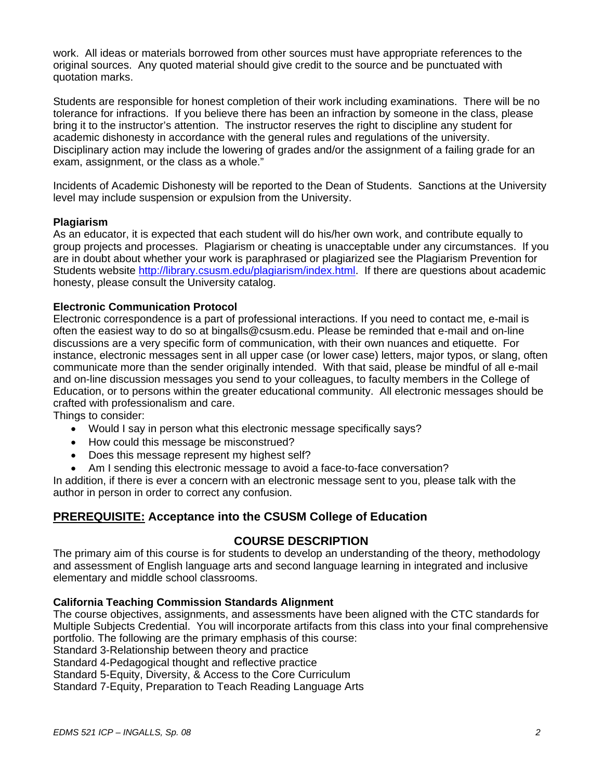work. All ideas or materials borrowed from other sources must have appropriate references to the original sources. Any quoted material should give credit to the source and be punctuated with quotation marks.

Students are responsible for honest completion of their work including examinations. There will be no tolerance for infractions. If you believe there has been an infraction by someone in the class, please bring it to the instructor's attention. The instructor reserves the right to discipline any student for academic dishonesty in accordance with the general rules and regulations of the university. Disciplinary action may include the lowering of grades and/or the assignment of a failing grade for an exam, assignment, or the class as a whole."

Incidents of Academic Dishonesty will be reported to the Dean of Students. Sanctions at the University level may include suspension or expulsion from the University.

## **Plagiarism**

As an educator, it is expected that each student will do his/her own work, and contribute equally to group projects and processes. Plagiarism or cheating is unacceptable under any circumstances. If you are in doubt about whether your work is paraphrased or plagiarized see the Plagiarism Prevention for Students website http://library.csusm.edu/plagiarism/index.html. If there are questions about academic honesty, please consult the University catalog.

## **Electronic Communication Protocol**

Electronic correspondence is a part of professional interactions. If you need to contact me, e-mail is often the easiest way to do so at bingalls@csusm.edu. Please be reminded that e-mail and on-line discussions are a very specific form of communication, with their own nuances and etiquette. For instance, electronic messages sent in all upper case (or lower case) letters, major typos, or slang, often communicate more than the sender originally intended. With that said, please be mindful of all e-mail and on-line discussion messages you send to your colleagues, to faculty members in the College of Education, or to persons within the greater educational community. All electronic messages should be crafted with professionalism and care.

Things to consider:

- Would I say in person what this electronic message specifically says?
- How could this message be misconstrued?
- Does this message represent my highest self?
- Am I sending this electronic message to avoid a face-to-face conversation?

In addition, if there is ever a concern with an electronic message sent to you, please talk with the author in person in order to correct any confusion.

## **PREREQUISITE: Acceptance into the CSUSM College of Education**

## **COURSE DESCRIPTION**

The primary aim of this course is for students to develop an understanding of the theory, methodology and assessment of English language arts and second language learning in integrated and inclusive elementary and middle school classrooms.

#### **California Teaching Commission Standards Alignment**

The course objectives, assignments, and assessments have been aligned with the CTC standards for Multiple Subjects Credential. You will incorporate artifacts from this class into your final comprehensive portfolio. The following are the primary emphasis of this course:

Standard 3-Relationship between theory and practice

Standard 4-Pedagogical thought and reflective practice

Standard 5-Equity, Diversity, & Access to the Core Curriculum

Standard 7-Equity, Preparation to Teach Reading Language Arts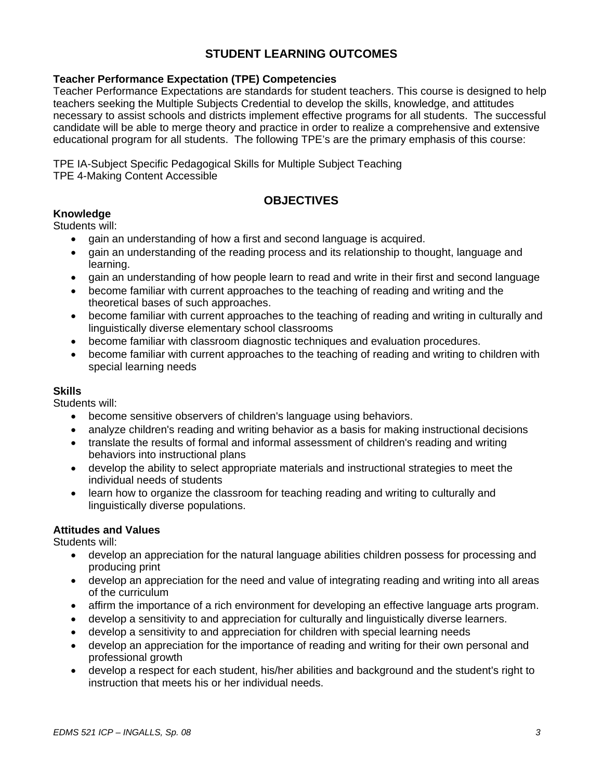## **STUDENT LEARNING OUTCOMES**

## **Teacher Performance Expectation (TPE) Competencies**

Teacher Performance Expectations are standards for student teachers. This course is designed to help teachers seeking the Multiple Subjects Credential to develop the skills, knowledge, and attitudes necessary to assist schools and districts implement effective programs for all students. The successful candidate will be able to merge theory and practice in order to realize a comprehensive and extensive educational program for all students. The following TPE's are the primary emphasis of this course:

TPE IA-Subject Specific Pedagogical Skills for Multiple Subject Teaching TPE 4-Making Content Accessible

## **OBJECTIVES**

## **Knowledge**

Students will:

- gain an understanding of how a first and second language is acquired.
- gain an understanding of the reading process and its relationship to thought, language and learning.
- gain an understanding of how people learn to read and write in their first and second language
- become familiar with current approaches to the teaching of reading and writing and the theoretical bases of such approaches.
- become familiar with current approaches to the teaching of reading and writing in culturally and linguistically diverse elementary school classrooms
- become familiar with classroom diagnostic techniques and evaluation procedures.
- become familiar with current approaches to the teaching of reading and writing to children with special learning needs

#### **Skills**

Students will:

- become sensitive observers of children's language using behaviors.
- analyze children's reading and writing behavior as a basis for making instructional decisions
- translate the results of formal and informal assessment of children's reading and writing behaviors into instructional plans
- develop the ability to select appropriate materials and instructional strategies to meet the individual needs of students
- learn how to organize the classroom for teaching reading and writing to culturally and linguistically diverse populations.

#### **Attitudes and Values**

Students will:

- develop an appreciation for the natural language abilities children possess for processing and producing print
- develop an appreciation for the need and value of integrating reading and writing into all areas of the curriculum
- affirm the importance of a rich environment for developing an effective language arts program.
- develop a sensitivity to and appreciation for culturally and linguistically diverse learners.
- develop a sensitivity to and appreciation for children with special learning needs
- develop an appreciation for the importance of reading and writing for their own personal and professional growth
- develop a respect for each student, his/her abilities and background and the student's right to instruction that meets his or her individual needs.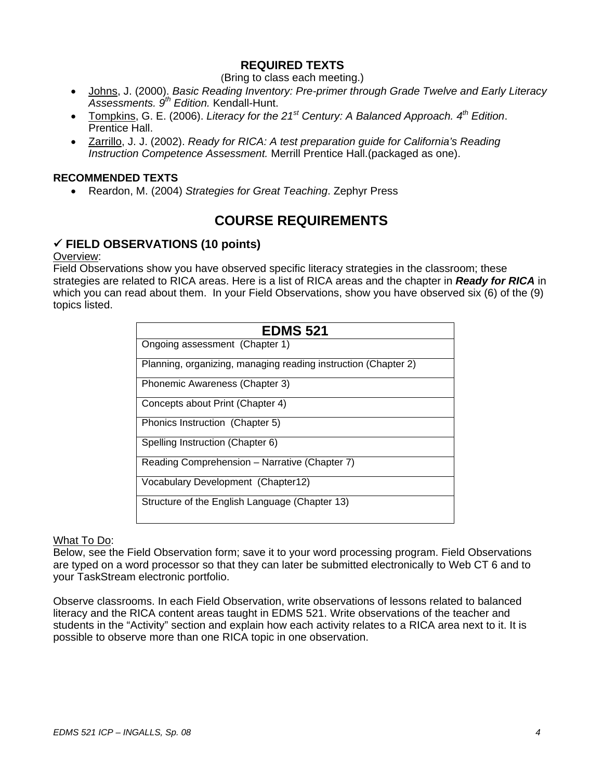## **REQUIRED TEXTS**

## (Bring to class each meeting.)

- Johns, J. (2000). *Basic Reading Inventory: Pre-primer through Grade Twelve and Early Literacy Assessments. 9th Edition.* Kendall-Hunt.
- Tompkins, G. E. (2006). *Literacy for the 21st Century: A Balanced Approach. 4th Edition*. Prentice Hall.
- Zarrillo, J. J. (2002). *Ready for RICA: A test preparation guide for California's Reading Instruction Competence Assessment.* Merrill Prentice Hall.(packaged as one).

#### **RECOMMENDED TEXTS**

• Reardon, M. (2004) *Strategies for Great Teaching*. Zephyr Press

# **COURSE REQUIREMENTS**

## 9 **FIELD OBSERVATIONS (10 points)**

#### Overview:

Field Observations show you have observed specific literacy strategies in the classroom; these strategies are related to RICA areas. Here is a list of RICA areas and the chapter in *Ready for RICA* in which you can read about them. In your Field Observations, show you have observed six (6) of the (9) topics listed.

| <b>EDMS 521</b>                                                |
|----------------------------------------------------------------|
| Ongoing assessment (Chapter 1)                                 |
| Planning, organizing, managing reading instruction (Chapter 2) |
| Phonemic Awareness (Chapter 3)                                 |
| Concepts about Print (Chapter 4)                               |
| Phonics Instruction (Chapter 5)                                |
| Spelling Instruction (Chapter 6)                               |
| Reading Comprehension - Narrative (Chapter 7)                  |
| Vocabulary Development (Chapter12)                             |
| Structure of the English Language (Chapter 13)                 |

#### What To Do:

Below, see the Field Observation form; save it to your word processing program. Field Observations are typed on a word processor so that they can later be submitted electronically to Web CT 6 and to your TaskStream electronic portfolio.

Observe classrooms. In each Field Observation, write observations of lessons related to balanced literacy and the RICA content areas taught in EDMS 521. Write observations of the teacher and students in the "Activity" section and explain how each activity relates to a RICA area next to it. It is possible to observe more than one RICA topic in one observation.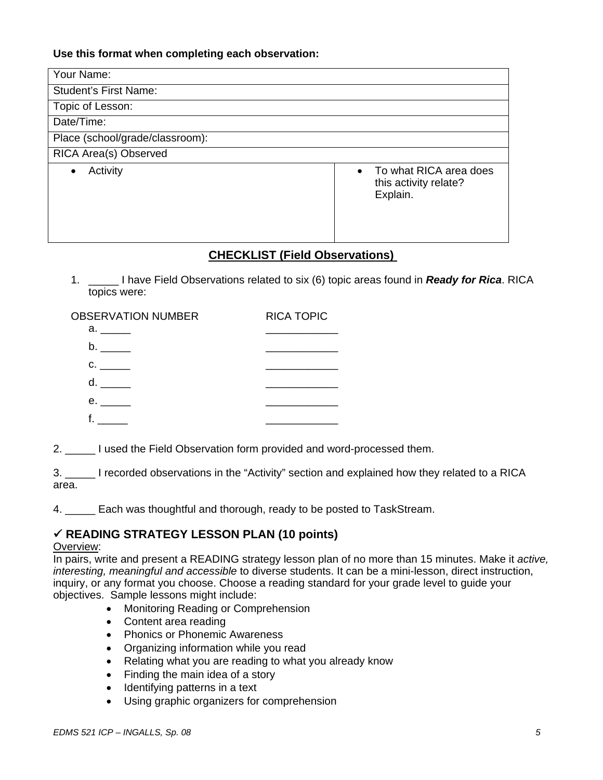## **Use this format when completing each observation:**

| Your Name:                      |                                                                          |
|---------------------------------|--------------------------------------------------------------------------|
| <b>Student's First Name:</b>    |                                                                          |
| Topic of Lesson:                |                                                                          |
| Date/Time:                      |                                                                          |
| Place (school/grade/classroom): |                                                                          |
| RICA Area(s) Observed           |                                                                          |
| Activity<br>$\bullet$           | To what RICA area does<br>$\bullet$<br>this activity relate?<br>Explain. |

## **CHECKLIST (Field Observations)**

1. \_\_\_\_\_ I have Field Observations related to six (6) topic areas found in *Ready for Rica*. RICA topics were:

| <b>OBSERVATION NUMBER</b>                                                                                      | <b>RICA TOPIC</b> |
|----------------------------------------------------------------------------------------------------------------|-------------------|
| a. In the set of the set of the set of the set of the set of the set of the set of the set of the set of the s |                   |
|                                                                                                                |                   |
| $\mathbf{C}$ .                                                                                                 |                   |
| d.                                                                                                             |                   |
| e. In the set                                                                                                  |                   |
|                                                                                                                |                   |

2. \_\_\_\_\_ I used the Field Observation form provided and word-processed them.

3. \_\_\_\_\_ I recorded observations in the "Activity" section and explained how they related to a RICA area.

4. \_\_\_\_\_ Each was thoughtful and thorough, ready to be posted to TaskStream.

## 9 **READING STRATEGY LESSON PLAN (10 points)**

#### Overview:

In pairs, write and present a READING strategy lesson plan of no more than 15 minutes. Make it *active, interesting, meaningful and accessible* to diverse students. It can be a mini-lesson, direct instruction, inquiry, or any format you choose. Choose a reading standard for your grade level to guide your objectives. Sample lessons might include:

- Monitoring Reading or Comprehension
- Content area reading
- Phonics or Phonemic Awareness
- Organizing information while you read
- Relating what you are reading to what you already know
- Finding the main idea of a story
- Identifying patterns in a text
- Using graphic organizers for comprehension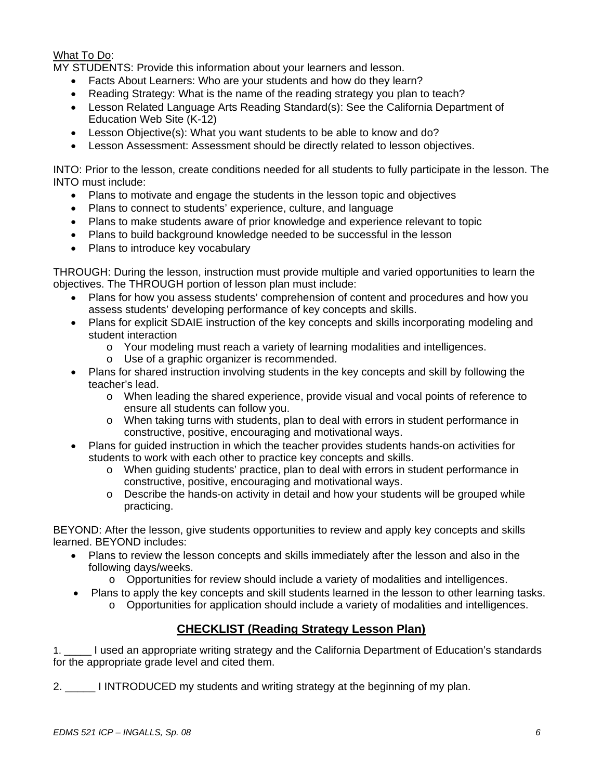## What To Do:

MY STUDENTS: Provide this information about your learners and lesson.

- Facts About Learners: Who are your students and how do they learn?
- Reading Strategy: What is the name of the reading strategy you plan to teach?
- Lesson Related Language Arts Reading Standard(s): See the California Department of Education Web Site (K-12)
- Lesson Objective(s): What you want students to be able to know and do?
- Lesson Assessment: Assessment should be directly related to lesson objectives.

INTO: Prior to the lesson, create conditions needed for all students to fully participate in the lesson. The INTO must include:

- Plans to motivate and engage the students in the lesson topic and objectives
- Plans to connect to students' experience, culture, and language
- Plans to make students aware of prior knowledge and experience relevant to topic
- Plans to build background knowledge needed to be successful in the lesson
- Plans to introduce key vocabulary

THROUGH: During the lesson, instruction must provide multiple and varied opportunities to learn the objectives. The THROUGH portion of lesson plan must include:

- Plans for how you assess students' comprehension of content and procedures and how you assess students' developing performance of key concepts and skills.
- Plans for explicit SDAIE instruction of the key concepts and skills incorporating modeling and student interaction
	- o Your modeling must reach a variety of learning modalities and intelligences.
	- o Use of a graphic organizer is recommended.
- Plans for shared instruction involving students in the key concepts and skill by following the teacher's lead.
	- o When leading the shared experience, provide visual and vocal points of reference to ensure all students can follow you.
	- o When taking turns with students, plan to deal with errors in student performance in constructive, positive, encouraging and motivational ways.
- Plans for guided instruction in which the teacher provides students hands-on activities for students to work with each other to practice key concepts and skills.
	- o When guiding students' practice, plan to deal with errors in student performance in constructive, positive, encouraging and motivational ways.
	- $\circ$  Describe the hands-on activity in detail and how your students will be grouped while practicing.

BEYOND: After the lesson, give students opportunities to review and apply key concepts and skills learned. BEYOND includes:

- Plans to review the lesson concepts and skills immediately after the lesson and also in the following days/weeks.
	- o Opportunities for review should include a variety of modalities and intelligences.
- Plans to apply the key concepts and skill students learned in the lesson to other learning tasks.
	- o Opportunities for application should include a variety of modalities and intelligences.

## **CHECKLIST (Reading Strategy Lesson Plan)**

1. \_\_\_\_\_ I used an appropriate writing strategy and the California Department of Education's standards for the appropriate grade level and cited them.

2. \_\_\_\_\_ I INTRODUCED my students and writing strategy at the beginning of my plan.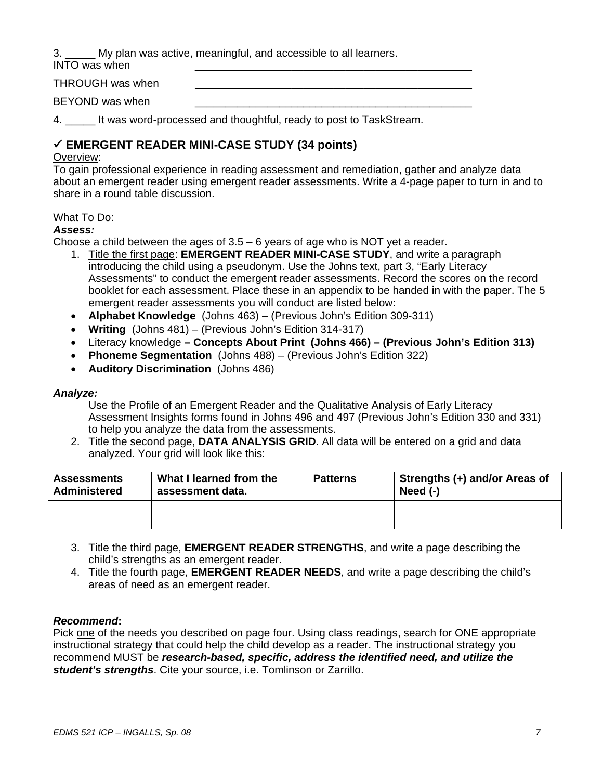3. \_\_\_\_\_ My plan was active, meaningful, and accessible to all learners.

INTO was when

THROUGH was when

BEYOND was when

4. \_\_\_\_\_ It was word-processed and thoughtful, ready to post to TaskStream.

## 9 **EMERGENT READER MINI-CASE STUDY (34 points)**

### Overview:

To gain professional experience in reading assessment and remediation, gather and analyze data about an emergent reader using emergent reader assessments. Write a 4-page paper to turn in and to share in a round table discussion.

#### What To Do:

## *Assess:*

Choose a child between the ages of  $3.5 - 6$  years of age who is NOT yet a reader.

- 1. Title the first page: **EMERGENT READER MINI-CASE STUDY**, and write a paragraph introducing the child using a pseudonym. Use the Johns text, part 3, "Early Literacy Assessments" to conduct the emergent reader assessments. Record the scores on the record booklet for each assessment. Place these in an appendix to be handed in with the paper. The 5 emergent reader assessments you will conduct are listed below:
- **Alphabet Knowledge** (Johns 463) (Previous John's Edition 309-311)
- **Writing** (Johns 481) (Previous John's Edition 314-317)
- Literacy knowledge **Concepts About Print (Johns 466) (Previous John's Edition 313)**
- **Phoneme Segmentation** (Johns 488) (Previous John's Edition 322)
- **Auditory Discrimination** (Johns 486)

#### *Analyze:*

Use the Profile of an Emergent Reader and the Qualitative Analysis of Early Literacy Assessment Insights forms found in Johns 496 and 497 (Previous John's Edition 330 and 331) to help you analyze the data from the assessments.

2. Title the second page, **DATA ANALYSIS GRID**. All data will be entered on a grid and data analyzed. Your grid will look like this:

| <b>Assessments</b>  | What I learned from the | <b>Patterns</b> | Strengths (+) and/or Areas of |
|---------------------|-------------------------|-----------------|-------------------------------|
| <b>Administered</b> | assessment data.        |                 | Need $(-)$                    |
|                     |                         |                 |                               |

- 3. Title the third page, **EMERGENT READER STRENGTHS**, and write a page describing the child's strengths as an emergent reader.
- 4. Title the fourth page, **EMERGENT READER NEEDS**, and write a page describing the child's areas of need as an emergent reader.

#### *Recommend***:**

Pick one of the needs you described on page four. Using class readings, search for ONE appropriate instructional strategy that could help the child develop as a reader. The instructional strategy you recommend MUST be *research-based, specific, address the identified need, and utilize the student's strengths*. Cite your source, i.e. Tomlinson or Zarrillo.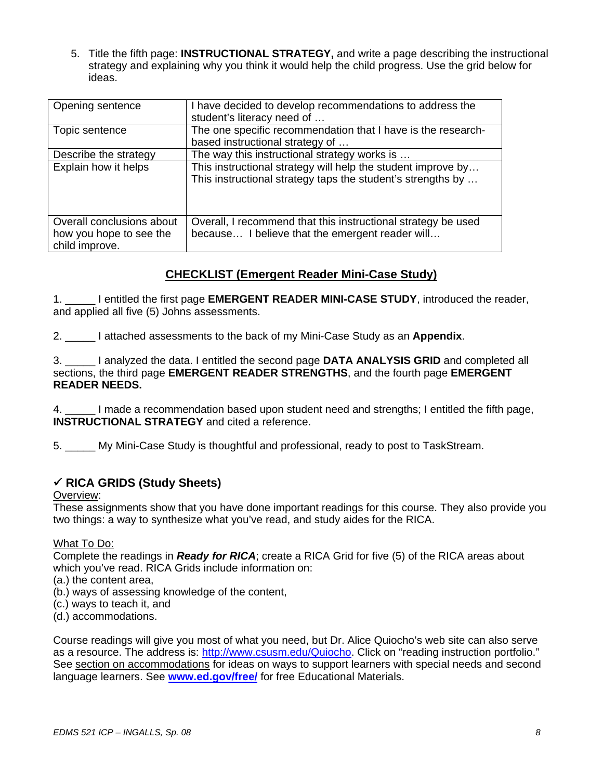5. Title the fifth page: **INSTRUCTIONAL STRATEGY,** and write a page describing the instructional strategy and explaining why you think it would help the child progress. Use the grid below for ideas.

| Opening sentence                                                       | I have decided to develop recommendations to address the<br>student's literacy need of                                      |
|------------------------------------------------------------------------|-----------------------------------------------------------------------------------------------------------------------------|
| Topic sentence                                                         | The one specific recommendation that I have is the research-<br>based instructional strategy of                             |
| Describe the strategy                                                  | The way this instructional strategy works is                                                                                |
| Explain how it helps                                                   | This instructional strategy will help the student improve by<br>This instructional strategy taps the student's strengths by |
| Overall conclusions about<br>how you hope to see the<br>child improve. | Overall, I recommend that this instructional strategy be used<br>because I believe that the emergent reader will            |

## **CHECKLIST (Emergent Reader Mini-Case Study)**

1. \_\_\_\_\_ I entitled the first page **EMERGENT READER MINI-CASE STUDY**, introduced the reader, and applied all five (5) Johns assessments.

2. \_\_\_\_\_ I attached assessments to the back of my Mini-Case Study as an **Appendix**.

3. \_\_\_\_\_ I analyzed the data. I entitled the second page **DATA ANALYSIS GRID** and completed all sections, the third page **EMERGENT READER STRENGTHS**, and the fourth page **EMERGENT READER NEEDS.** 

4. \_\_\_\_\_ I made a recommendation based upon student need and strengths; I entitled the fifth page, **INSTRUCTIONAL STRATEGY** and cited a reference.

5. \_\_\_\_\_ My Mini-Case Study is thoughtful and professional, ready to post to TaskStream.

## 9 **RICA GRIDS (Study Sheets)**

#### Overview:

These assignments show that you have done important readings for this course. They also provide you two things: a way to synthesize what you've read, and study aides for the RICA.

#### What To Do:

Complete the readings in *Ready for RICA*; create a RICA Grid for five (5) of the RICA areas about which you've read. RICA Grids include information on:

(a.) the content area,

- (b.) ways of assessing knowledge of the content,
- (c.) ways to teach it, and
- (d.) accommodations.

Course readings will give you most of what you need, but Dr. Alice Quiocho's web site can also serve as a resource. The address is: http://www.csusm.edu/Quiocho. Click on "reading instruction portfolio." See section on accommodations for ideas on ways to support learners with special needs and second language learners. See **www.ed.gov/free/** for free Educational Materials.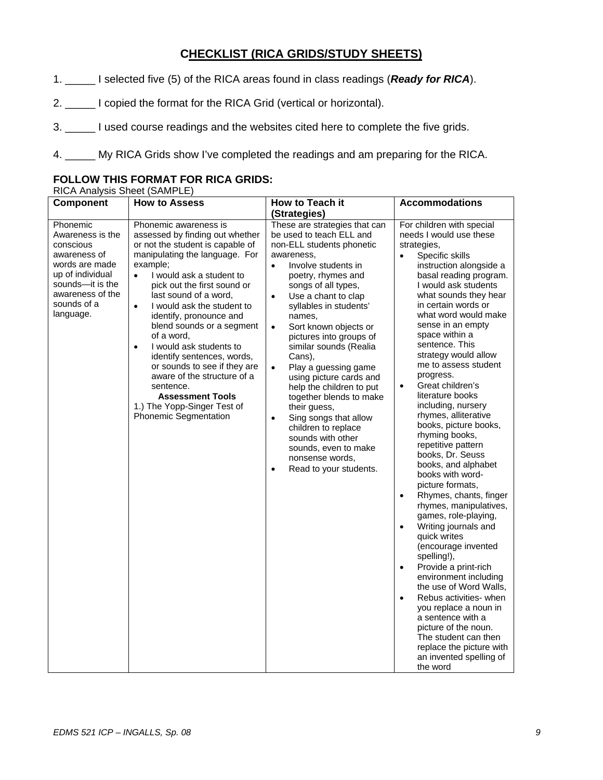## **CHECKLIST (RICA GRIDS/STUDY SHEETS)**

1. \_\_\_\_\_ I selected five (5) of the RICA areas found in class readings (*Ready for RICA*).

2. \_\_\_\_\_ I copied the format for the RICA Grid (vertical or horizontal).

3. \_\_\_\_\_ I used course readings and the websites cited here to complete the five grids.

4. \_\_\_\_\_ My RICA Grids show I've completed the readings and am preparing for the RICA.

## **FOLLOW THIS FORMAT FOR RICA GRIDS:**

RICA Analysis Sheet (SAMPLE)

| <b>Component</b>                                                                                                                                                     | <b>How to Assess</b>                                                                                                                                                                                                                                                                                                                                                                                                                                                                                                                                                                              | How to Teach it                                                                                                                                                                                                                                                                                                                                                                                                                                                                                                                                                                                                                                                               | <b>Accommodations</b>                                                                                                                                                                                                                                                                                                                                                                                                                                                                                                                                                                                                                                                                                                                                                                                                                                                                                                                                                                                                                                                                                                     |
|----------------------------------------------------------------------------------------------------------------------------------------------------------------------|---------------------------------------------------------------------------------------------------------------------------------------------------------------------------------------------------------------------------------------------------------------------------------------------------------------------------------------------------------------------------------------------------------------------------------------------------------------------------------------------------------------------------------------------------------------------------------------------------|-------------------------------------------------------------------------------------------------------------------------------------------------------------------------------------------------------------------------------------------------------------------------------------------------------------------------------------------------------------------------------------------------------------------------------------------------------------------------------------------------------------------------------------------------------------------------------------------------------------------------------------------------------------------------------|---------------------------------------------------------------------------------------------------------------------------------------------------------------------------------------------------------------------------------------------------------------------------------------------------------------------------------------------------------------------------------------------------------------------------------------------------------------------------------------------------------------------------------------------------------------------------------------------------------------------------------------------------------------------------------------------------------------------------------------------------------------------------------------------------------------------------------------------------------------------------------------------------------------------------------------------------------------------------------------------------------------------------------------------------------------------------------------------------------------------------|
|                                                                                                                                                                      |                                                                                                                                                                                                                                                                                                                                                                                                                                                                                                                                                                                                   | (Strategies)                                                                                                                                                                                                                                                                                                                                                                                                                                                                                                                                                                                                                                                                  |                                                                                                                                                                                                                                                                                                                                                                                                                                                                                                                                                                                                                                                                                                                                                                                                                                                                                                                                                                                                                                                                                                                           |
| Phonemic<br>Awareness is the<br>conscious<br>awareness of<br>words are made<br>up of individual<br>sounds--it is the<br>awareness of the<br>sounds of a<br>language. | Phonemic awareness is<br>assessed by finding out whether<br>or not the student is capable of<br>manipulating the language. For<br>example;<br>I would ask a student to<br>$\bullet$<br>pick out the first sound or<br>last sound of a word,<br>I would ask the student to<br>$\bullet$<br>identify, pronounce and<br>blend sounds or a segment<br>of a word,<br>I would ask students to<br>$\bullet$<br>identify sentences, words,<br>or sounds to see if they are<br>aware of the structure of a<br>sentence.<br><b>Assessment Tools</b><br>1.) The Yopp-Singer Test of<br>Phonemic Segmentation | These are strategies that can<br>be used to teach ELL and<br>non-ELL students phonetic<br>awareness,<br>Involve students in<br>$\bullet$<br>poetry, rhymes and<br>songs of all types,<br>Use a chant to clap<br>$\bullet$<br>syllables in students'<br>names.<br>Sort known objects or<br>$\bullet$<br>pictures into groups of<br>similar sounds (Realia<br>Cans),<br>Play a guessing game<br>$\bullet$<br>using picture cards and<br>help the children to put<br>together blends to make<br>their guess,<br>Sing songs that allow<br>$\bullet$<br>children to replace<br>sounds with other<br>sounds, even to make<br>nonsense words,<br>Read to your students.<br>$\bullet$ | For children with special<br>needs I would use these<br>strategies,<br>Specific skills<br>$\bullet$<br>instruction alongside a<br>basal reading program.<br>I would ask students<br>what sounds they hear<br>in certain words or<br>what word would make<br>sense in an empty<br>space within a<br>sentence. This<br>strategy would allow<br>me to assess student<br>progress.<br>Great children's<br>$\bullet$<br>literature books<br>including, nursery<br>rhymes, alliterative<br>books, picture books,<br>rhyming books,<br>repetitive pattern<br>books, Dr. Seuss<br>books, and alphabet<br>books with word-<br>picture formats,<br>Rhymes, chants, finger<br>$\bullet$<br>rhymes, manipulatives,<br>games, role-playing,<br>Writing journals and<br>$\bullet$<br>quick writes<br>(encourage invented<br>spelling!),<br>Provide a print-rich<br>$\bullet$<br>environment including<br>the use of Word Walls,<br>Rebus activities- when<br>$\bullet$<br>you replace a noun in<br>a sentence with a<br>picture of the noun.<br>The student can then<br>replace the picture with<br>an invented spelling of<br>the word |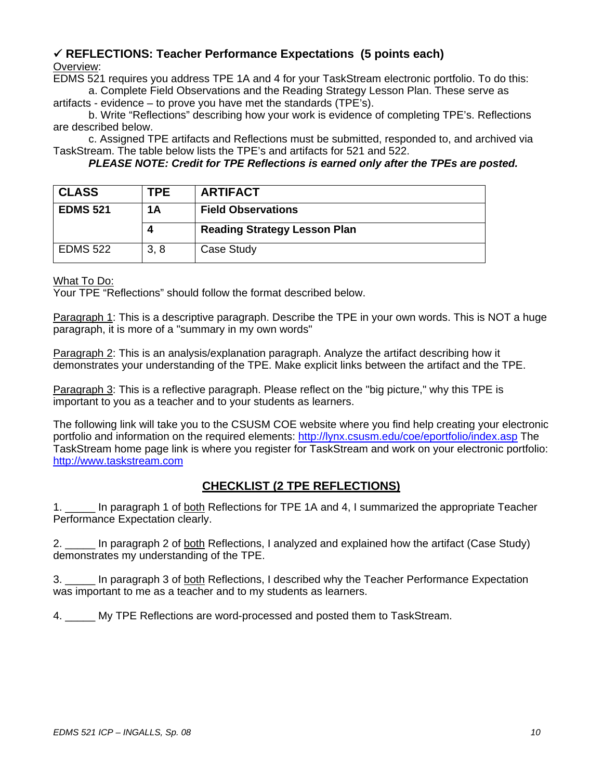## 9 **REFLECTIONS: Teacher Performance Expectations (5 points each)**  Overview:

EDMS 521 requires you address TPE 1A and 4 for your TaskStream electronic portfolio. To do this: a. Complete Field Observations and the Reading Strategy Lesson Plan. These serve as

artifacts - evidence – to prove you have met the standards (TPE's).

b. Write "Reflections" describing how your work is evidence of completing TPE's. Reflections are described below.

c. Assigned TPE artifacts and Reflections must be submitted, responded to, and archived via TaskStream. The table below lists the TPE's and artifacts for 521 and 522.

*PLEASE NOTE: Credit for TPE Reflections is earned only after the TPEs are posted.* 

| <b>CLASS</b>    | TPE. | <b>ARTIFACT</b>                     |
|-----------------|------|-------------------------------------|
| <b>EDMS 521</b> | 1A   | <b>Field Observations</b>           |
|                 |      |                                     |
|                 |      | <b>Reading Strategy Lesson Plan</b> |

## What To Do:

Your TPE "Reflections" should follow the format described below.

Paragraph 1: This is a descriptive paragraph. Describe the TPE in your own words. This is NOT a huge paragraph, it is more of a "summary in my own words"

Paragraph 2: This is an analysis/explanation paragraph. Analyze the artifact describing how it demonstrates your understanding of the TPE. Make explicit links between the artifact and the TPE.

Paragraph 3: This is a reflective paragraph. Please reflect on the "big picture," why this TPE is important to you as a teacher and to your students as learners.

The following link will take you to the CSUSM COE website where you find help creating your electronic portfolio and information on the required elements: http://lynx.csusm.edu/coe/eportfolio/index.asp The TaskStream home page link is where you register for TaskStream and work on your electronic portfolio: http://www.taskstream.com

## **CHECKLIST (2 TPE REFLECTIONS)**

1. \_\_\_\_\_ In paragraph 1 of both Reflections for TPE 1A and 4, I summarized the appropriate Teacher Performance Expectation clearly.

2. \_\_\_\_\_ In paragraph 2 of both Reflections, I analyzed and explained how the artifact (Case Study) demonstrates my understanding of the TPE.

3. \_\_\_\_\_ In paragraph 3 of both Reflections, I described why the Teacher Performance Expectation was important to me as a teacher and to my students as learners.

4. \_\_\_\_\_ My TPE Reflections are word-processed and posted them to TaskStream.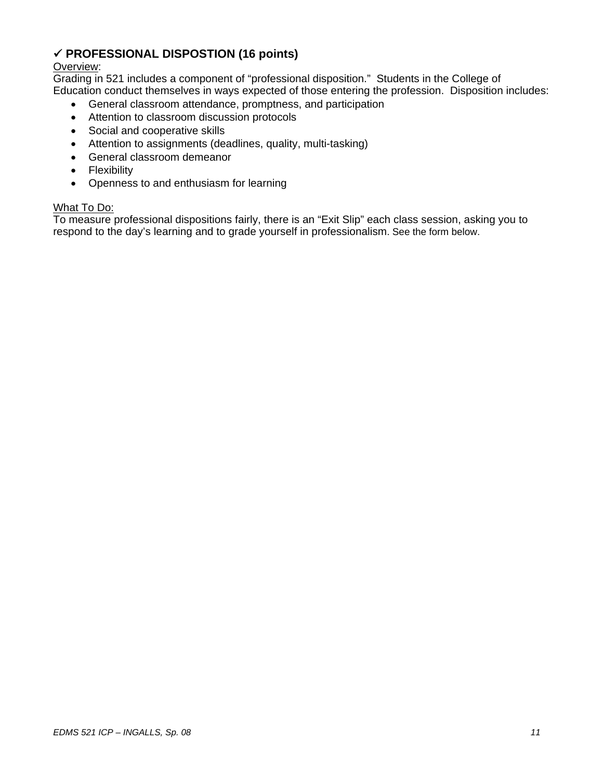## 9 **PROFESSIONAL DISPOSTION (16 points)**

## Overview:

Grading in 521 includes a component of "professional disposition." Students in the College of Education conduct themselves in ways expected of those entering the profession. Disposition includes:

- General classroom attendance, promptness, and participation
- Attention to classroom discussion protocols
- Social and cooperative skills
- Attention to assignments (deadlines, quality, multi-tasking)
- General classroom demeanor
- Flexibility
- Openness to and enthusiasm for learning

#### What To Do:

To measure professional dispositions fairly, there is an "Exit Slip" each class session, asking you to respond to the day's learning and to grade yourself in professionalism. See the form below.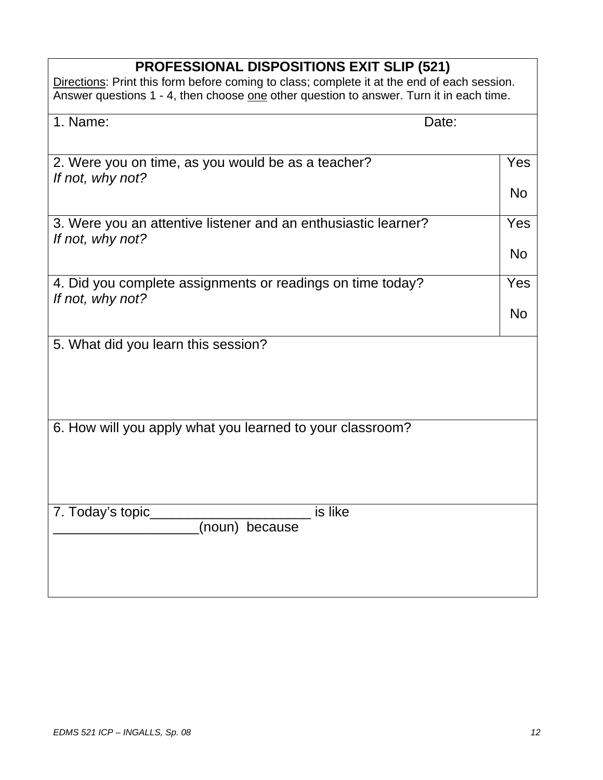# **PROFESSIONAL DISPOSITIONS EXIT SLIP (521)**

| Directions: Print this form before coming to class; complete it at the end of each session. |
|---------------------------------------------------------------------------------------------|
| Answer questions 1 - 4, then choose one other question to answer. Turn it in each time.     |

| 1. Name:<br>Date:                                                                  |           |
|------------------------------------------------------------------------------------|-----------|
| 2. Were you on time, as you would be as a teacher?<br>If not, why not?             | Yes       |
|                                                                                    | <b>No</b> |
| 3. Were you an attentive listener and an enthusiastic learner?<br>If not, why not? | Yes       |
|                                                                                    | <b>No</b> |
| 4. Did you complete assignments or readings on time today?<br>If not, why not?     | Yes       |
|                                                                                    | <b>No</b> |
| 5. What did you learn this session?                                                |           |
|                                                                                    |           |
|                                                                                    |           |
| 6. How will you apply what you learned to your classroom?                          |           |
|                                                                                    |           |
|                                                                                    |           |
| is like<br>7. Today's topic_<br>(noun) because                                     |           |
|                                                                                    |           |
|                                                                                    |           |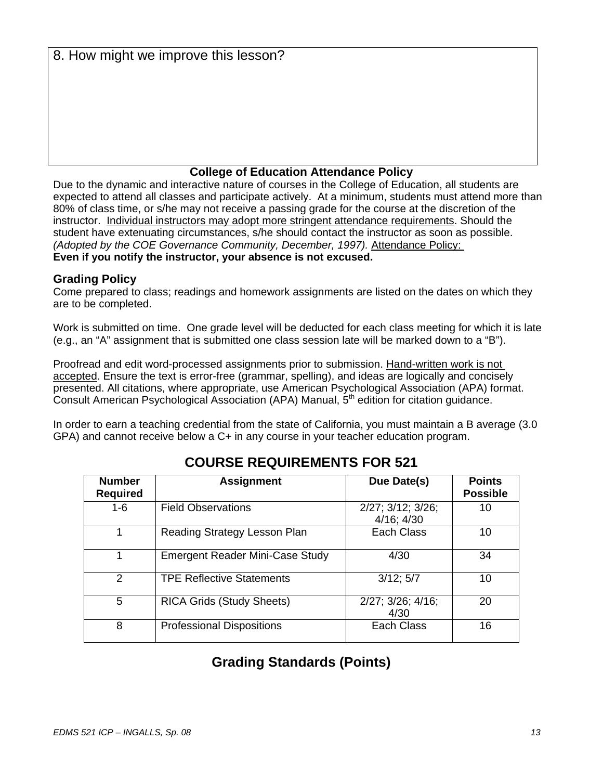8. How might we improve this lesson?

## **College of Education Attendance Policy**

Due to the dynamic and interactive nature of courses in the College of Education, all students are expected to attend all classes and participate actively. At a minimum, students must attend more than 80% of class time, or s/he may not receive a passing grade for the course at the discretion of the instructor. Individual instructors may adopt more stringent attendance requirements. Should the student have extenuating circumstances, s/he should contact the instructor as soon as possible. *(Adopted by the COE Governance Community, December, 1997).* Attendance Policy: **Even if you notify the instructor, your absence is not excused.** 

## **Grading Policy**

Come prepared to class; readings and homework assignments are listed on the dates on which they are to be completed.

Work is submitted on time. One grade level will be deducted for each class meeting for which it is late (e.g., an "A" assignment that is submitted one class session late will be marked down to a "B").

Proofread and edit word-processed assignments prior to submission. Hand-written work is not accepted. Ensure the text is error-free (grammar, spelling), and ideas are logically and concisely presented. All citations, where appropriate, use American Psychological Association (APA) format. Consult American Psychological Association (APA) Manual, 5<sup>th</sup> edition for citation guidance.

In order to earn a teaching credential from the state of California, you must maintain a B average (3.0 GPA) and cannot receive below a C+ in any course in your teacher education program.

| <b>Number</b><br><b>Required</b> | <b>Assignment</b>                      | Due Date(s)                          | <b>Points</b><br><b>Possible</b> |
|----------------------------------|----------------------------------------|--------------------------------------|----------------------------------|
| $1-6$                            | <b>Field Observations</b>              | 2/27; 3/12; 3/26;<br>$4/16$ ; $4/30$ | 10                               |
| 1                                | Reading Strategy Lesson Plan           | Each Class                           | 10                               |
| 1                                | <b>Emergent Reader Mini-Case Study</b> | 4/30                                 | 34                               |
| $\mathfrak{p}$                   | <b>TPE Reflective Statements</b>       | 3/12; 5/7                            | 10                               |
| 5                                | <b>RICA Grids (Study Sheets)</b>       | $2/27$ ; $3/26$ ; $4/16$ ;<br>4/30   | 20                               |
| 8                                | <b>Professional Dispositions</b>       | Each Class                           | 16                               |

# **COURSE REQUIREMENTS FOR 521**

# **Grading Standards (Points)**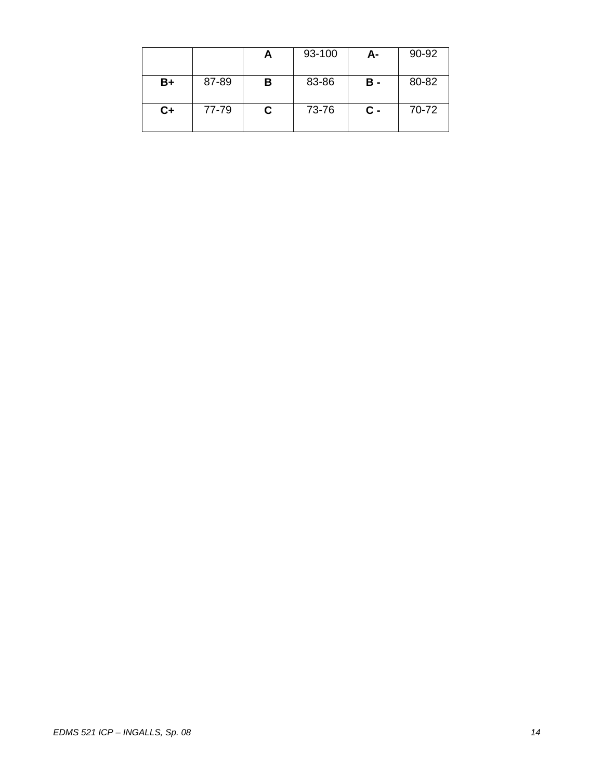|      |       | A | 93-100 | А-             | 90-92 |
|------|-------|---|--------|----------------|-------|
| B+   | 87-89 | в | 83-86  | в -            | 80-82 |
| $C+$ | 77-79 | С | 73-76  | $\mathbf{c}$ - | 70-72 |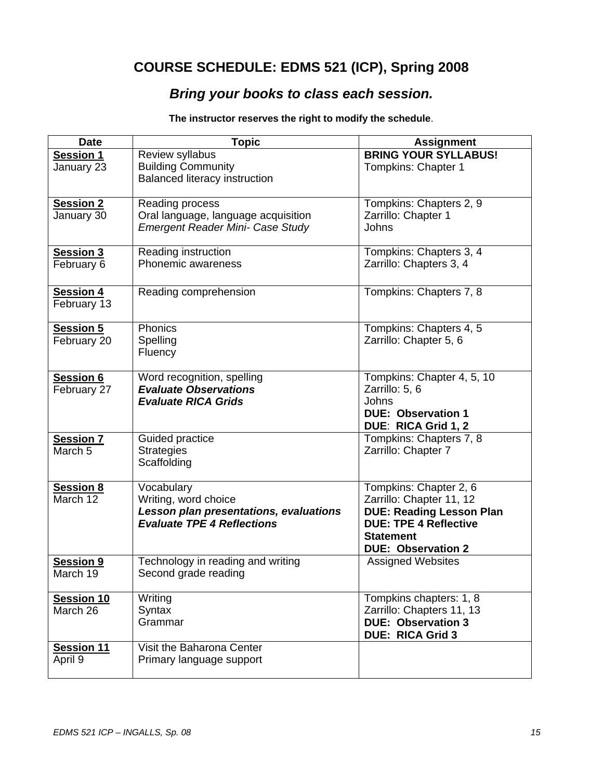# **COURSE SCHEDULE: EDMS 521 (ICP), Spring 2008**

# *Bring your books to class each session.*

**The instructor reserves the right to modify the schedule**.

| <b>Date</b>                            | <b>Topic</b>                                                                                                      | <b>Assignment</b>                                                                                                                                                      |
|----------------------------------------|-------------------------------------------------------------------------------------------------------------------|------------------------------------------------------------------------------------------------------------------------------------------------------------------------|
| <b>Session 1</b><br>January 23         | Review syllabus<br><b>Building Community</b><br><b>Balanced literacy instruction</b>                              | <b>BRING YOUR SYLLABUS!</b><br>Tompkins: Chapter 1                                                                                                                     |
| <b>Session 2</b><br>January 30         | Reading process<br>Oral language, language acquisition<br>Emergent Reader Mini- Case Study                        | Tompkins: Chapters 2, 9<br>Zarrillo: Chapter 1<br>Johns                                                                                                                |
| Session 3<br>February 6                | Reading instruction<br>Phonemic awareness                                                                         | Tompkins: Chapters 3, 4<br>Zarrillo: Chapters 3, 4                                                                                                                     |
| <b>Session 4</b><br>February 13        | Reading comprehension                                                                                             | Tompkins: Chapters 7, 8                                                                                                                                                |
| <b>Session 5</b><br>February 20        | Phonics<br>Spelling<br>Fluency                                                                                    | Tompkins: Chapters 4, 5<br>Zarrillo: Chapter 5, 6                                                                                                                      |
| <b>Session 6</b><br>February 27        | Word recognition, spelling<br><b>Evaluate Observations</b><br><b>Evaluate RICA Grids</b>                          | Tompkins: Chapter 4, 5, 10<br>Zarrillo: 5, 6<br>Johns<br><b>DUE: Observation 1</b><br>DUE: RICA Grid 1, 2                                                              |
| <b>Session 7</b><br>March <sub>5</sub> | Guided practice<br><b>Strategies</b><br>Scaffolding                                                               | Tompkins: Chapters 7, 8<br>Zarrillo: Chapter 7                                                                                                                         |
| <b>Session 8</b><br>March 12           | Vocabulary<br>Writing, word choice<br>Lesson plan presentations, evaluations<br><b>Evaluate TPE 4 Reflections</b> | Tompkins: Chapter 2, 6<br>Zarrillo: Chapter 11, 12<br><b>DUE: Reading Lesson Plan</b><br><b>DUE: TPE 4 Reflective</b><br><b>Statement</b><br><b>DUE: Observation 2</b> |
| <b>Session 9</b><br>March 19           | Technology in reading and writing<br>Second grade reading                                                         | <b>Assigned Websites</b>                                                                                                                                               |
| Session 10<br>March 26                 | Writing<br>Syntax<br>Grammar                                                                                      | Tompkins chapters: 1, 8<br>Zarrillo: Chapters 11, 13<br><b>DUE: Observation 3</b><br><b>DUE: RICA Grid 3</b>                                                           |
| <b>Session 11</b><br>April 9           | Visit the Baharona Center<br>Primary language support                                                             |                                                                                                                                                                        |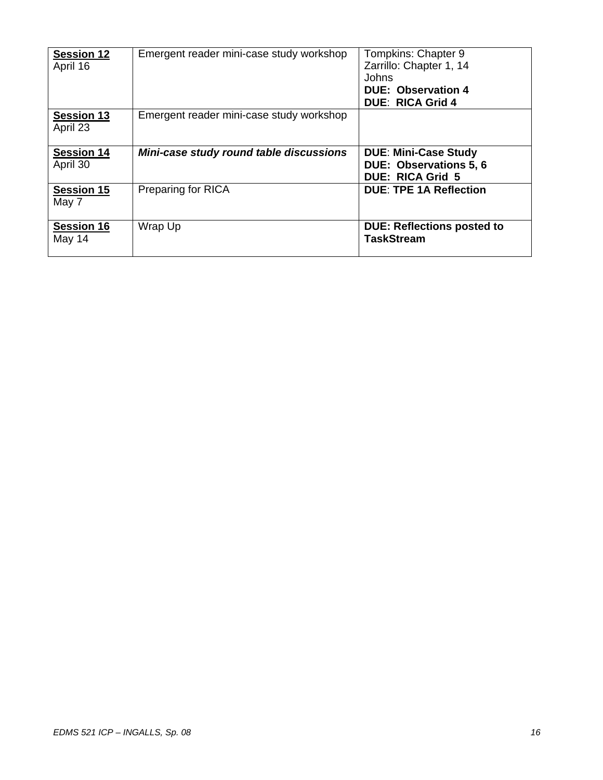| <b>Session 12</b><br>April 16 | Emergent reader mini-case study workshop | Tompkins: Chapter 9<br>Zarrillo: Chapter 1, 14<br>Johns<br><b>DUE: Observation 4</b><br><b>DUE: RICA Grid 4</b> |
|-------------------------------|------------------------------------------|-----------------------------------------------------------------------------------------------------------------|
| <b>Session 13</b><br>April 23 | Emergent reader mini-case study workshop |                                                                                                                 |
| <b>Session 14</b><br>April 30 | Mini-case study round table discussions  | <b>DUE: Mini-Case Study</b><br><b>DUE: Observations 5, 6</b><br><b>DUE: RICA Grid 5</b>                         |
| <b>Session 15</b><br>May 7    | <b>Preparing for RICA</b>                | <b>DUE: TPE 1A Reflection</b>                                                                                   |
| <b>Session 16</b><br>May 14   | Wrap Up                                  | <b>DUE: Reflections posted to</b><br><b>TaskStream</b>                                                          |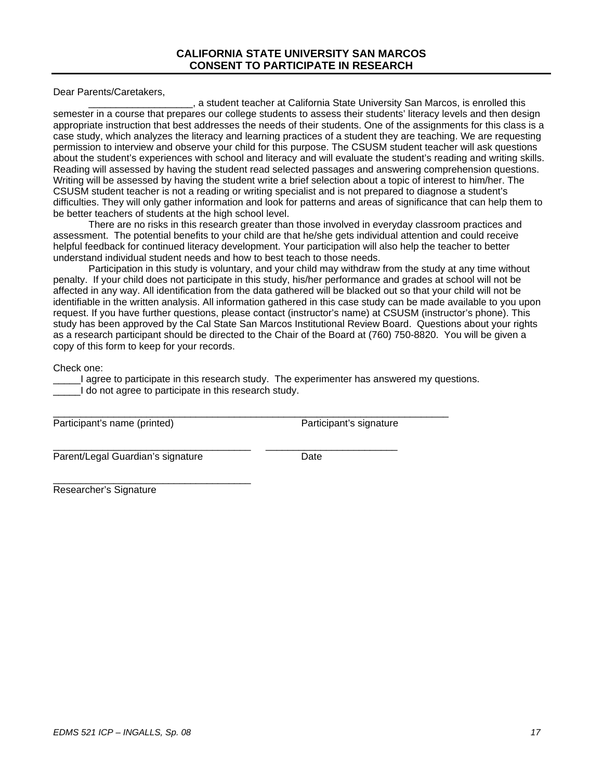#### **CALIFORNIA STATE UNIVERSITY SAN MARCOS CONSENT TO PARTICIPATE IN RESEARCH**

Dear Parents/Caretakers,

\_\_\_\_\_\_\_\_\_\_\_\_\_\_\_\_\_\_\_, a student teacher at California State University San Marcos, is enrolled this semester in a course that prepares our college students to assess their students' literacy levels and then design appropriate instruction that best addresses the needs of their students. One of the assignments for this class is a case study, which analyzes the literacy and learning practices of a student they are teaching. We are requesting permission to interview and observe your child for this purpose. The CSUSM student teacher will ask questions about the student's experiences with school and literacy and will evaluate the student's reading and writing skills. Reading will assessed by having the student read selected passages and answering comprehension questions. Writing will be assessed by having the student write a brief selection about a topic of interest to him/her. The CSUSM student teacher is not a reading or writing specialist and is not prepared to diagnose a student's difficulties. They will only gather information and look for patterns and areas of significance that can help them to be better teachers of students at the high school level.

There are no risks in this research greater than those involved in everyday classroom practices and assessment. The potential benefits to your child are that he/she gets individual attention and could receive helpful feedback for continued literacy development. Your participation will also help the teacher to better understand individual student needs and how to best teach to those needs.

Participation in this study is voluntary, and your child may withdraw from the study at any time without penalty. If your child does not participate in this study, his/her performance and grades at school will not be affected in any way. All identification from the data gathered will be blacked out so that your child will not be identifiable in the written analysis. All information gathered in this case study can be made available to you upon request. If you have further questions, please contact (instructor's name) at CSUSM (instructor's phone). This study has been approved by the Cal State San Marcos Institutional Review Board. Questions about your rights as a research participant should be directed to the Chair of the Board at (760) 750-8820. You will be given a copy of this form to keep for your records.

Check one:

I agree to participate in this research study. The experimenter has answered my questions. I do not agree to participate in this research study.

\_\_\_\_\_\_\_\_\_\_\_\_\_\_\_\_\_\_\_\_\_\_\_\_\_\_\_\_\_\_\_\_\_\_\_\_\_\_\_\_\_\_\_\_\_\_\_\_\_\_\_\_\_\_\_\_\_\_\_\_\_\_\_\_\_\_\_\_\_\_\_\_

\_\_\_\_\_\_\_\_\_\_\_\_\_\_\_\_\_\_\_\_\_\_\_\_\_\_\_\_\_\_\_\_\_\_\_\_ \_\_\_\_\_\_\_\_\_\_\_\_\_\_\_\_\_\_\_\_\_\_\_\_

Participant's name (printed) Participant's signature

Parent/Legal Guardian's signature Date

\_\_\_\_\_\_\_\_\_\_\_\_\_\_\_\_\_\_\_\_\_\_\_\_\_\_\_\_\_\_\_\_\_\_\_\_

Researcher's Signature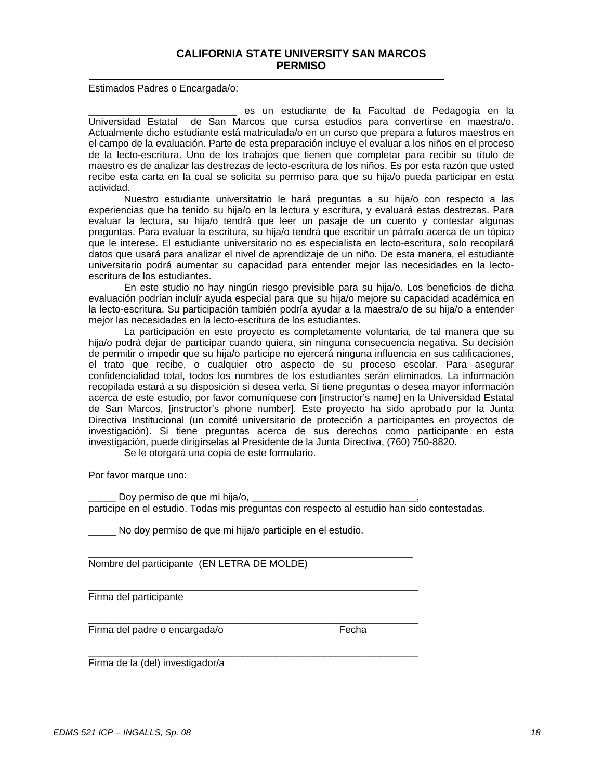#### **CALIFORNIA STATE UNIVERSITY SAN MARCOS PERMISO**

Estimados Padres o Encargada/o:

es un estudiante de la Facultad de Pedagogía en la Universidad Estatal de San Marcos que cursa estudios para convertirse en maestra/o. Actualmente dicho estudiante está matriculada/o en un curso que prepara a futuros maestros en el campo de la evaluación. Parte de esta preparación incluye el evaluar a los niños en el proceso de la lecto-escritura. Uno de los trabajos que tienen que completar para recibir su título de maestro es de analizar las destrezas de lecto-escritura de los niños. Es por esta razón que usted recibe esta carta en la cual se solicita su permiso para que su hija/o pueda participar en esta actividad.

Nuestro estudiante universitatrio le hará preguntas a su hija/o con respecto a las experiencias que ha tenido su hija/o en la lectura y escritura, y evaluará estas destrezas. Para evaluar la lectura, su hija/o tendrá que leer un pasaje de un cuento y contestar algunas preguntas. Para evaluar la escritura, su hija/o tendrá que escribir un párrafo acerca de un tópico que le interese. El estudiante universitario no es especialista en lecto-escritura, solo recopilará datos que usará para analizar el nivel de aprendizaje de un niño. De esta manera, el estudiante universitario podrá aumentar su capacidad para entender mejor las necesidades en la lectoescritura de los estudiantes.

En este studio no hay ningún riesgo previsible para su hija/o. Los beneficios de dicha evaluación podrían incluír ayuda especial para que su hija/o mejore su capacidad académica en la lecto-escritura. Su participación también podría ayudar a la maestra/o de su hija/o a entender mejor las necesidades en la lecto-escritura de los estudiantes.

La participación en este proyecto es completamente voluntaria, de tal manera que su hija/o podrá dejar de participar cuando quiera, sin ninguna consecuencia negativa. Su decisión de permitir o impedir que su hija/o participe no ejercerá ninguna influencia en sus calificaciones, el trato que recibe, o cualquier otro aspecto de su proceso escolar. Para asegurar confidencialidad total, todos los nombres de los estudiantes serán eliminados. La información recopilada estará a su disposición si desea verla. Si tiene preguntas o desea mayor información acerca de este estudio, por favor comuníquese con [instructor's name] en la Universidad Estatal de San Marcos, [instructor's phone number]. Este proyecto ha sido aprobado por la Junta Directiva Institucional (un comité universitario de protección a participantes en proyectos de investigación). Si tiene preguntas acerca de sus derechos como participante en esta investigación, puede dirigírselas al Presidente de la Junta Directiva, (760) 750-8820.

Se le otorgará una copia de este formulario.

Por favor marque uno:

Doy permiso de que mi hija/o, participe en el estudio. Todas mis preguntas con respecto al estudio han sido contestadas.

No doy permiso de que mi hija/o participle en el estudio.

 $\mathcal{L}_\text{max}$  , and the set of the set of the set of the set of the set of the set of the set of the set of the set of the set of the set of the set of the set of the set of the set of the set of the set of the set of the

\_\_\_\_\_\_\_\_\_\_\_\_\_\_\_\_\_\_\_\_\_\_\_\_\_\_\_\_\_\_\_\_\_\_\_\_\_\_\_\_\_\_\_\_\_\_\_\_\_\_\_\_\_\_\_\_\_\_\_\_

\_\_\_\_\_\_\_\_\_\_\_\_\_\_\_\_\_\_\_\_\_\_\_\_\_\_\_\_\_\_\_\_\_\_\_\_\_\_\_\_\_\_\_\_\_\_\_\_\_\_\_\_\_\_\_\_\_\_\_\_

Nombre del participante (EN LETRA DE MOLDE)

Firma del participante

\_\_\_\_\_\_\_\_\_\_\_\_\_\_\_\_\_\_\_\_\_\_\_\_\_\_\_\_\_\_\_\_\_\_\_\_\_\_\_\_\_\_\_\_\_\_\_\_\_\_\_\_\_\_\_\_\_\_\_\_ Firma del padre o encargada/o entra entra en el Fecha

Firma de la (del) investigador/a